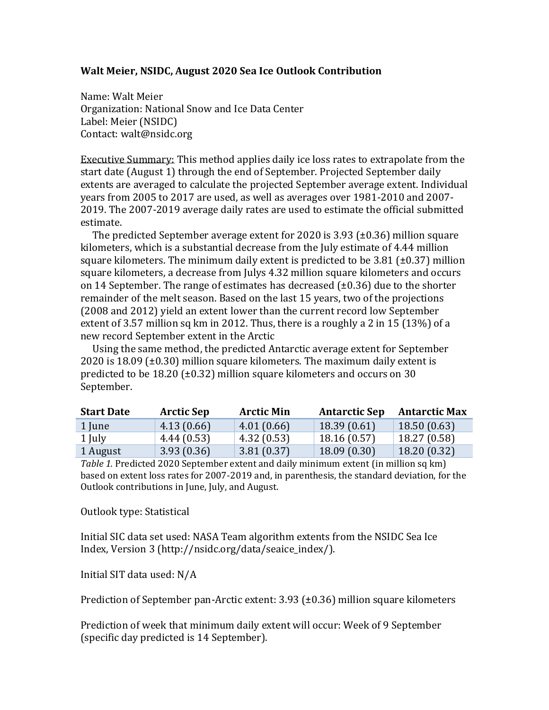## **Walt Meier, NSIDC, August 2020 Sea Ice Outlook Contribution**

Name: Walt Meier Organization: National Snow and Ice Data Center Label: Meier (NSIDC) Contact: walt@nsidc.org

Executive Summary: This method applies daily ice loss rates to extrapolate from the start date (August 1) through the end of September. Projected September daily extents are averaged to calculate the projected September average extent. Individual years from 2005 to 2017 are used, as well as averages over 1981-2010 and 2007- 2019. The 2007-2019 average daily rates are used to estimate the official submitted estimate.

The predicted September average extent for 2020 is 3.93 (±0.36) million square kilometers, which is a substantial decrease from the July estimate of 4.44 million square kilometers. The minimum daily extent is predicted to be 3.81 ( $\pm$ 0.37) million square kilometers, a decrease from Julys 4.32 million square kilometers and occurs on 14 September. The range of estimates has decreased  $(\pm 0.36)$  due to the shorter remainder of the melt season. Based on the last 15 years, two of the projections (2008 and 2012) yield an extent lower than the current record low September extent of 3.57 million sq km in 2012. Thus, there is a roughly a 2 in 15 (13%) of a new record September extent in the Arctic

Using the same method, the predicted Antarctic average extent for September 2020 is 18.09 ( $\pm$ 0.30) million square kilometers. The maximum daily extent is predicted to be 18.20 (±0.32) million square kilometers and occurs on 30 September.

| <b>Start Date</b> | <b>Arctic Sep</b> | <b>Arctic Min</b> | <b>Antarctic Sep</b> | <b>Antarctic Max</b> |
|-------------------|-------------------|-------------------|----------------------|----------------------|
| 1 June            | 4.13(0.66)        | 4.01(0.66)        | 18.39(0.61)          | 18.50(0.63)          |
| 1 July            | 4.44(0.53)        | 4.32(0.53)        | 18.16(0.57)          | 18.27 (0.58)         |
| 1 August          | 3.93(0.36)        | 3.81(0.37)        | 18.09(0.30)          | 18.20(0.32)          |

*Table 1.* Predicted 2020 September extent and daily minimum extent (in million sq km) based on extent loss rates for 2007-2019 and, in parenthesis, the standard deviation, for the Outlook contributions in June, July, and August.

## Outlook type: Statistical

Initial SIC data set used: NASA Team algorithm extents from the NSIDC Sea Ice Index, Version 3 (http://nsidc.org/data/seaice\_index/).

Initial SIT data used: N/A

Prediction of September pan-Arctic extent: 3.93 (±0.36) million square kilometers

Prediction of week that minimum daily extent will occur: Week of 9 September (specific day predicted is 14 September).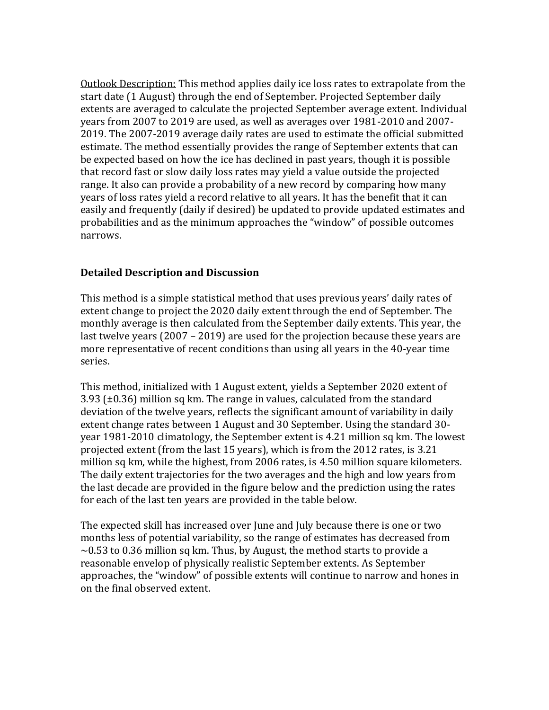Outlook Description: This method applies daily ice loss rates to extrapolate from the start date (1 August) through the end of September. Projected September daily extents are averaged to calculate the projected September average extent. Individual years from 2007 to 2019 are used, as well as averages over 1981-2010 and 2007- 2019. The 2007-2019 average daily rates are used to estimate the official submitted estimate. The method essentially provides the range of September extents that can be expected based on how the ice has declined in past years, though it is possible that record fast or slow daily loss rates may yield a value outside the projected range. It also can provide a probability of a new record by comparing how many years of loss rates yield a record relative to all years. It has the benefit that it can easily and frequently (daily if desired) be updated to provide updated estimates and probabilities and as the minimum approaches the "window" of possible outcomes narrows.

## **Detailed Description and Discussion**

This method is a simple statistical method that uses previous years' daily rates of extent change to project the 2020 daily extent through the end of September. The monthly average is then calculated from the September daily extents. This year, the last twelve years (2007 – 2019) are used for the projection because these years are more representative of recent conditions than using all years in the 40-year time series.

This method, initialized with 1 August extent, yields a September 2020 extent of 3.93 (±0.36) million sq km. The range in values, calculated from the standard deviation of the twelve years, reflects the significant amount of variability in daily extent change rates between 1 August and 30 September. Using the standard 30 year 1981-2010 climatology, the September extent is 4.21 million sq km. The lowest projected extent (from the last 15 years), which is from the 2012 rates, is 3.21 million sq km, while the highest, from 2006 rates, is 4.50 million square kilometers. The daily extent trajectories for the two averages and the high and low years from the last decade are provided in the figure below and the prediction using the rates for each of the last ten years are provided in the table below.

The expected skill has increased over June and July because there is one or two months less of potential variability, so the range of estimates has decreased from  $\sim$  0.53 to 0.36 million sq km. Thus, by August, the method starts to provide a reasonable envelop of physically realistic September extents. As September approaches, the "window" of possible extents will continue to narrow and hones in on the final observed extent.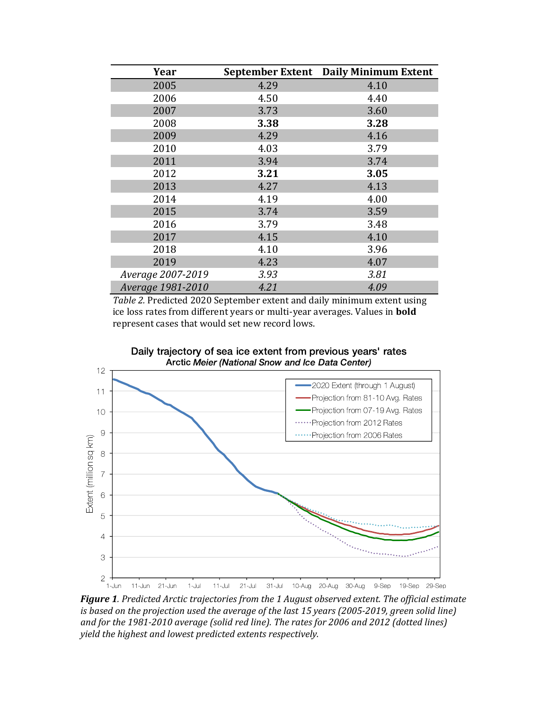| Year              |      | September Extent Daily Minimum Extent |
|-------------------|------|---------------------------------------|
| 2005              | 4.29 | 4.10                                  |
| 2006              | 4.50 | 4.40                                  |
| 2007              | 3.73 | 3.60                                  |
| 2008              | 3.38 | 3.28                                  |
| 2009              | 4.29 | 4.16                                  |
| 2010              | 4.03 | 3.79                                  |
| 2011              | 3.94 | 3.74                                  |
| 2012              | 3.21 | 3.05                                  |
| 2013              | 4.27 | 4.13                                  |
| 2014              | 4.19 | 4.00                                  |
| 2015              | 3.74 | 3.59                                  |
| 2016              | 3.79 | 3.48                                  |
| 2017              | 4.15 | 4.10                                  |
| 2018              | 4.10 | 3.96                                  |
| 2019              | 4.23 | 4.07                                  |
| Average 2007-2019 | 3.93 | 3.81                                  |
| Average 1981-2010 | 4.21 | 4.09                                  |

*Table 2.* Predicted 2020 September extent and daily minimum extent using ice loss rates from different years or multi-year averages. Values in **bold** represent cases that would set new record lows.



Daily trajectory of sea ice extent from previous years' rates

*Figure 1. Predicted Arctic trajectories from the 1 August observed extent. The official estimate is based on the projection used the average of the last 15 years (2005-2019, green solid line) and for the 1981-2010 average (solid red line). The rates for 2006 and 2012 (dotted lines) yield the highest and lowest predicted extents respectively.*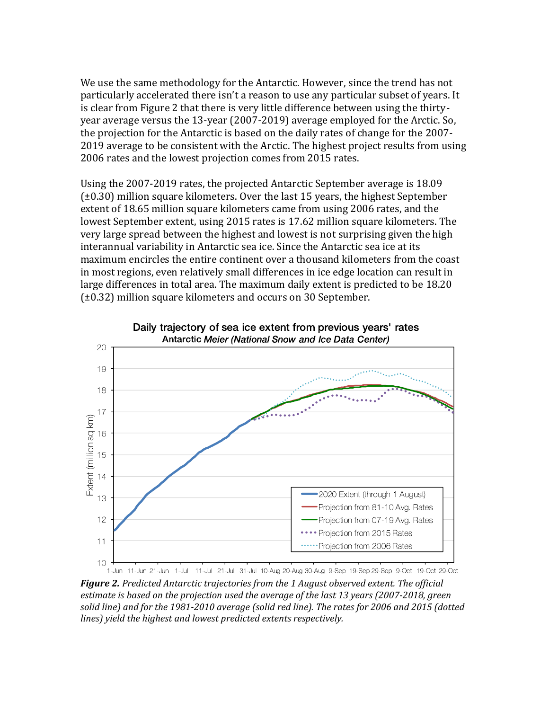We use the same methodology for the Antarctic. However, since the trend has not particularly accelerated there isn't a reason to use any particular subset of years. It is clear from Figure 2 that there is very little difference between using the thirtyyear average versus the 13-year (2007-2019) average employed for the Arctic. So, the projection for the Antarctic is based on the daily rates of change for the 2007- 2019 average to be consistent with the Arctic. The highest project results from using 2006 rates and the lowest projection comes from 2015 rates.

Using the 2007-2019 rates, the projected Antarctic September average is 18.09 (±0.30) million square kilometers. Over the last 15 years, the highest September extent of 18.65 million square kilometers came from using 2006 rates, and the lowest September extent, using 2015 rates is 17.62 million square kilometers. The very large spread between the highest and lowest is not surprising given the high interannual variability in Antarctic sea ice. Since the Antarctic sea ice at its maximum encircles the entire continent over a thousand kilometers from the coast in most regions, even relatively small differences in ice edge location can result in large differences in total area. The maximum daily extent is predicted to be 18.20 (±0.32) million square kilometers and occurs on 30 September.



*Figure 2. Predicted Antarctic trajectories from the 1 August observed extent. The official estimate is based on the projection used the average of the last 13 years (2007-2018, green solid line) and for the 1981-2010 average (solid red line). The rates for 2006 and 2015 (dotted lines) yield the highest and lowest predicted extents respectively.*